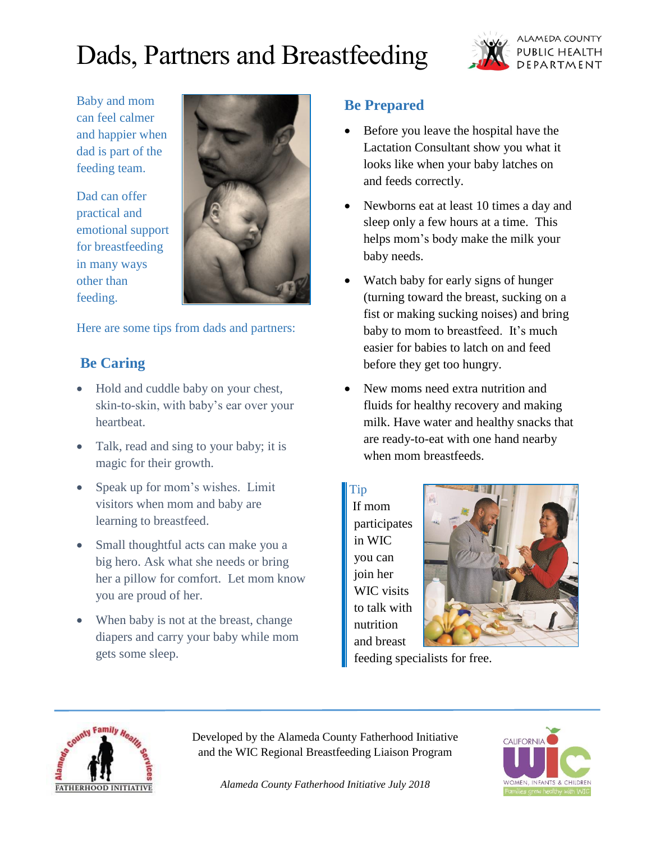# Dads, Partners and Breastfeeding



Baby and mom can feel calmer and happier when dad is part of the feeding team.

Dad can offer practical and emotional support for breastfeeding in many ways other than feeding.



Here are some tips from dads and partners:

# **Be Caring**

- Hold and cuddle baby on your chest, skin-to-skin, with baby's ear over your heartbeat.
- Talk, read and sing to your baby; it is magic for their growth.
- Speak up for mom's wishes. Limit visitors when mom and baby are learning to breastfeed.
- Small thoughtful acts can make you a big hero. Ask what she needs or bring her a pillow for comfort. Let mom know you are proud of her.
- When baby is not at the breast, change diapers and carry your baby while mom gets some sleep.

# **Be Prepared**

- Before you leave the hospital have the Lactation Consultant show you what it looks like when your baby latches on and feeds correctly.
- Newborns eat at least 10 times a day and sleep only a few hours at a time. This helps mom's body make the milk your baby needs.
- Watch baby for early signs of hunger (turning toward the breast, sucking on a fist or making sucking noises) and bring baby to mom to breastfeed. It's much easier for babies to latch on and feed before they get too hungry.
- New moms need extra nutrition and fluids for healthy recovery and making milk. Have water and healthy snacks that are ready-to-eat with one hand nearby when mom breastfeeds.

Tip If mom participates in WIC you can join her WIC visits to talk with nutrition and breast



feeding specialists for free.



Developed by the Alameda County Fatherhood Initiative and the WIC Regional Breastfeeding Liaison Program